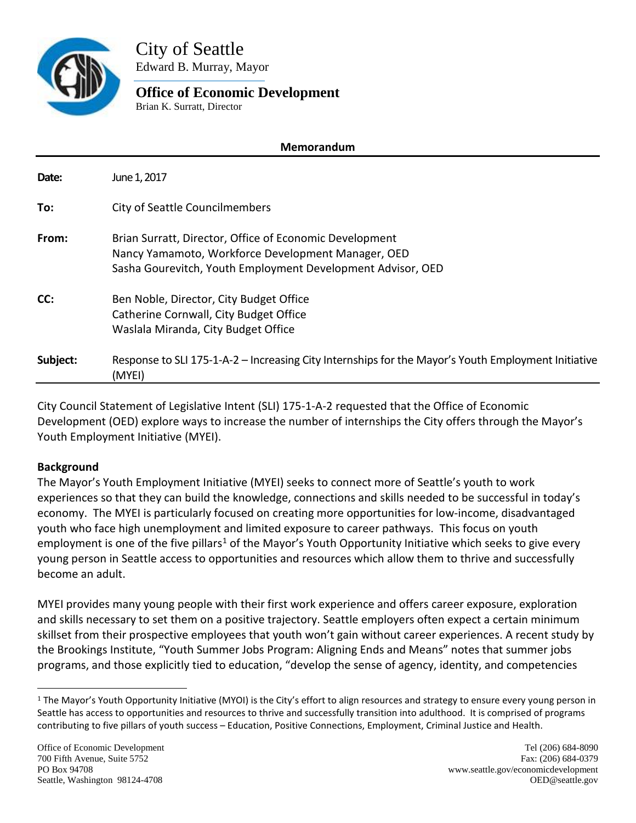

City of Seattle Edward B. Murray, Mayor

#### **Office of Economic Development** Brian K. Surratt, Director

# **Memorandum Date:** June 1, 2017 **To:** City of Seattle Councilmembers **From:** Brian Surratt, Director, Office of Economic Development Nancy Yamamoto, Workforce Development Manager, OED Sasha Gourevitch, Youth Employment Development Advisor, OED **CC:** Ben Noble, Director, City Budget Office Catherine Cornwall, City Budget Office Waslala Miranda, City Budget Office **Subject:** Response to SLI 175-1-A-2 – Increasing City Internships for the Mayor's Youth Employment Initiative (MYEI)

City Council Statement of Legislative Intent (SLI) 175-1-A-2 requested that the Office of Economic Development (OED) explore ways to increase the number of internships the City offers through the Mayor's Youth Employment Initiative (MYEI).

## **Background**

The Mayor's Youth Employment Initiative (MYEI) seeks to connect more of Seattle's youth to work experiences so that they can build the knowledge, connections and skills needed to be successful in today's economy. The MYEI is particularly focused on creating more opportunities for low-income, disadvantaged youth who face high unemployment and limited exposure to career pathways. This focus on youth employment is one of the five pillars<sup>1</sup> of the Mayor's Youth Opportunity Initiative which seeks to give every young person in Seattle access to opportunities and resources which allow them to thrive and successfully become an adult.

MYEI provides many young people with their first work experience and offers career exposure, exploration and skills necessary to set them on a positive trajectory. Seattle employers often expect a certain minimum skillset from their prospective employees that youth won't gain without career experiences. A recent study by the Brookings Institute, "Youth Summer Jobs Program: Aligning Ends and Means" notes that summer jobs programs, and those explicitly tied to education, "develop the sense of agency, identity, and competencies

<span id="page-0-0"></span> $1$  The Mayor's Youth Opportunity Initiative (MYOI) is the City's effort to align resources and strategy to ensure every young person in Seattle has access to opportunities and resources to thrive and successfully transition into adulthood. It is comprised of programs contributing to five pillars of youth success – Education, Positive Connections, Employment, Criminal Justice and Health.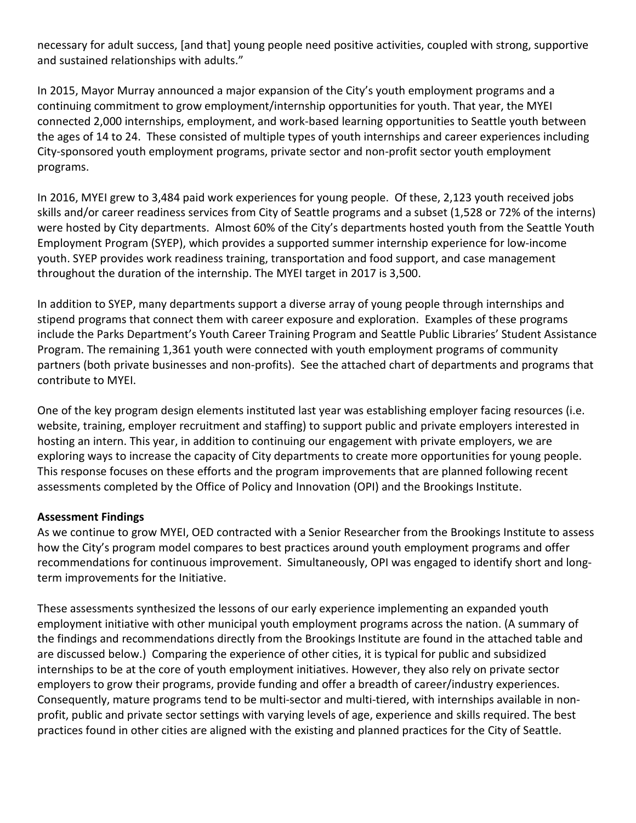necessary for adult success, [and that] young people need positive activities, coupled with strong, supportive and sustained relationships with adults."

In 2015, Mayor Murray announced a major expansion of the City's youth employment programs and a continuing commitment to grow employment/internship opportunities for youth. That year, the MYEI connected 2,000 internships, employment, and work-based learning opportunities to Seattle youth between the ages of 14 to 24. These consisted of multiple types of youth internships and career experiences including City-sponsored youth employment programs, private sector and non-profit sector youth employment programs.

In 2016, MYEI grew to 3,484 paid work experiences for young people. Of these, 2,123 youth received jobs skills and/or career readiness services from City of Seattle programs and a subset (1,528 or 72% of the interns) were hosted by City departments. Almost 60% of the City's departments hosted youth from the Seattle Youth Employment Program (SYEP), which provides a supported summer internship experience for low-income youth. SYEP provides work readiness training, transportation and food support, and case management throughout the duration of the internship. The MYEI target in 2017 is 3,500.

In addition to SYEP, many departments support a diverse array of young people through internships and stipend programs that connect them with career exposure and exploration. Examples of these programs include the Parks Department's Youth Career Training Program and Seattle Public Libraries' Student Assistance Program. The remaining 1,361 youth were connected with youth employment programs of community partners (both private businesses and non-profits). See the attached chart of departments and programs that contribute to MYEI.

One of the key program design elements instituted last year was establishing employer facing resources (i.e. website, training, employer recruitment and staffing) to support public and private employers interested in hosting an intern. This year, in addition to continuing our engagement with private employers, we are exploring ways to increase the capacity of City departments to create more opportunities for young people. This response focuses on these efforts and the program improvements that are planned following recent assessments completed by the Office of Policy and Innovation (OPI) and the Brookings Institute.

## **Assessment Findings**

As we continue to grow MYEI, OED contracted with a Senior Researcher from the Brookings Institute to assess how the City's program model compares to best practices around youth employment programs and offer recommendations for continuous improvement. Simultaneously, OPI was engaged to identify short and longterm improvements for the Initiative.

These assessments synthesized the lessons of our early experience implementing an expanded youth employment initiative with other municipal youth employment programs across the nation. (A summary of the findings and recommendations directly from the Brookings Institute are found in the attached table and are discussed below.) Comparing the experience of other cities, it is typical for public and subsidized internships to be at the core of youth employment initiatives. However, they also rely on private sector employers to grow their programs, provide funding and offer a breadth of career/industry experiences. Consequently, mature programs tend to be multi-sector and multi-tiered, with internships available in nonprofit, public and private sector settings with varying levels of age, experience and skills required. The best practices found in other cities are aligned with the existing and planned practices for the City of Seattle.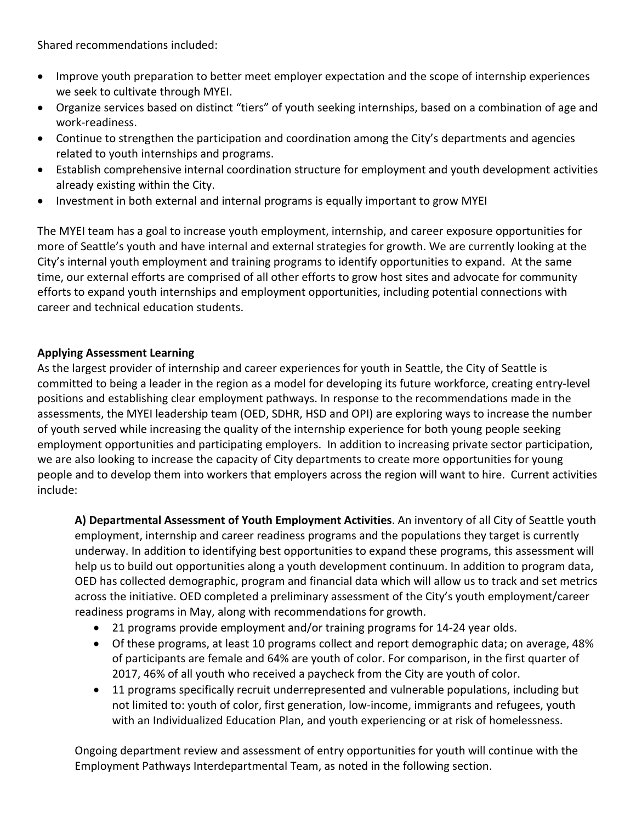Shared recommendations included:

- Improve youth preparation to better meet employer expectation and the scope of internship experiences we seek to cultivate through MYEI.
- Organize services based on distinct "tiers" of youth seeking internships, based on a combination of age and work-readiness.
- Continue to strengthen the participation and coordination among the City's departments and agencies related to youth internships and programs.
- Establish comprehensive internal coordination structure for employment and youth development activities already existing within the City.
- Investment in both external and internal programs is equally important to grow MYEI

The MYEI team has a goal to increase youth employment, internship, and career exposure opportunities for more of Seattle's youth and have internal and external strategies for growth. We are currently looking at the City's internal youth employment and training programs to identify opportunities to expand. At the same time, our external efforts are comprised of all other efforts to grow host sites and advocate for community efforts to expand youth internships and employment opportunities, including potential connections with career and technical education students.

#### **Applying Assessment Learning**

As the largest provider of internship and career experiences for youth in Seattle, the City of Seattle is committed to being a leader in the region as a model for developing its future workforce, creating entry-level positions and establishing clear employment pathways. In response to the recommendations made in the assessments, the MYEI leadership team (OED, SDHR, HSD and OPI) are exploring ways to increase the number of youth served while increasing the quality of the internship experience for both young people seeking employment opportunities and participating employers. In addition to increasing private sector participation, we are also looking to increase the capacity of City departments to create more opportunities for young people and to develop them into workers that employers across the region will want to hire. Current activities include:

**A) Departmental Assessment of Youth Employment Activities**. An inventory of all City of Seattle youth employment, internship and career readiness programs and the populations they target is currently underway. In addition to identifying best opportunities to expand these programs, this assessment will help us to build out opportunities along a youth development continuum. In addition to program data, OED has collected demographic, program and financial data which will allow us to track and set metrics across the initiative. OED completed a preliminary assessment of the City's youth employment/career readiness programs in May, along with recommendations for growth.

- 21 programs provide employment and/or training programs for 14-24 year olds.
- Of these programs, at least 10 programs collect and report demographic data; on average, 48% of participants are female and 64% are youth of color. For comparison, in the first quarter of 2017, 46% of all youth who received a paycheck from the City are youth of color.
- 11 programs specifically recruit underrepresented and vulnerable populations, including but not limited to: youth of color, first generation, low-income, immigrants and refugees, youth with an Individualized Education Plan, and youth experiencing or at risk of homelessness.

Ongoing department review and assessment of entry opportunities for youth will continue with the Employment Pathways Interdepartmental Team, as noted in the following section.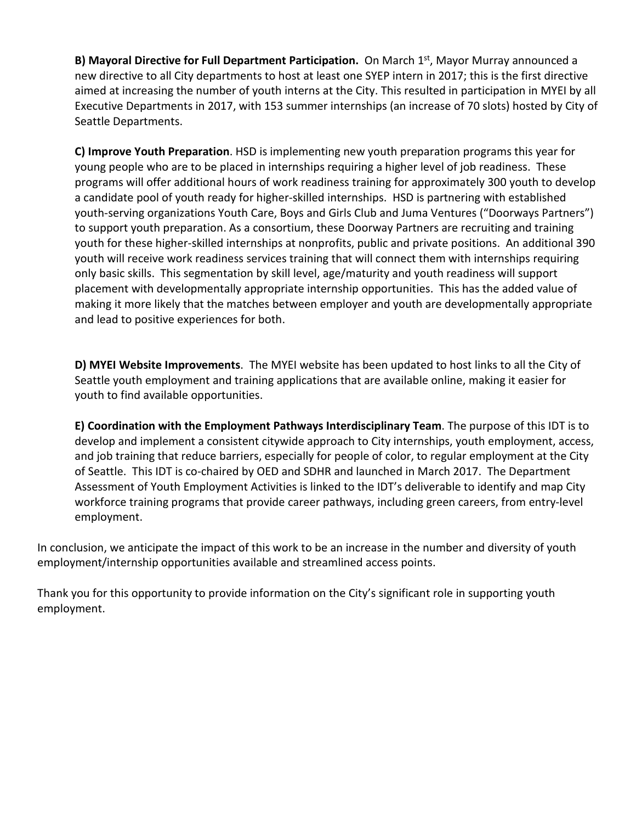**B) Mayoral Directive for Full Department Participation.** On March 1<sup>st</sup>, Mayor Murray announced a new directive to all City departments to host at least one SYEP intern in 2017; this is the first directive aimed at increasing the number of youth interns at the City. This resulted in participation in MYEI by all Executive Departments in 2017, with 153 summer internships (an increase of 70 slots) hosted by City of Seattle Departments.

**C) Improve Youth Preparation**. HSD is implementing new youth preparation programs this year for young people who are to be placed in internships requiring a higher level of job readiness. These programs will offer additional hours of work readiness training for approximately 300 youth to develop a candidate pool of youth ready for higher-skilled internships. HSD is partnering with established youth-serving organizations Youth Care, Boys and Girls Club and Juma Ventures ("Doorways Partners") to support youth preparation. As a consortium, these Doorway Partners are recruiting and training youth for these higher-skilled internships at nonprofits, public and private positions. An additional 390 youth will receive work readiness services training that will connect them with internships requiring only basic skills. This segmentation by skill level, age/maturity and youth readiness will support placement with developmentally appropriate internship opportunities. This has the added value of making it more likely that the matches between employer and youth are developmentally appropriate and lead to positive experiences for both.

**D) MYEI Website Improvements**. The MYEI website has been updated to host links to all the City of Seattle youth employment and training applications that are available online, making it easier for youth to find available opportunities.

**E) Coordination with the Employment Pathways Interdisciplinary Team**. The purpose of this IDT is to develop and implement a consistent citywide approach to City internships, youth employment, access, and job training that reduce barriers, especially for people of color, to regular employment at the City of Seattle. This IDT is co-chaired by OED and SDHR and launched in March 2017. The Department Assessment of Youth Employment Activities is linked to the IDT's deliverable to identify and map City workforce training programs that provide career pathways, including green careers, from entry-level employment.

In conclusion, we anticipate the impact of this work to be an increase in the number and diversity of youth employment/internship opportunities available and streamlined access points.

Thank you for this opportunity to provide information on the City's significant role in supporting youth employment.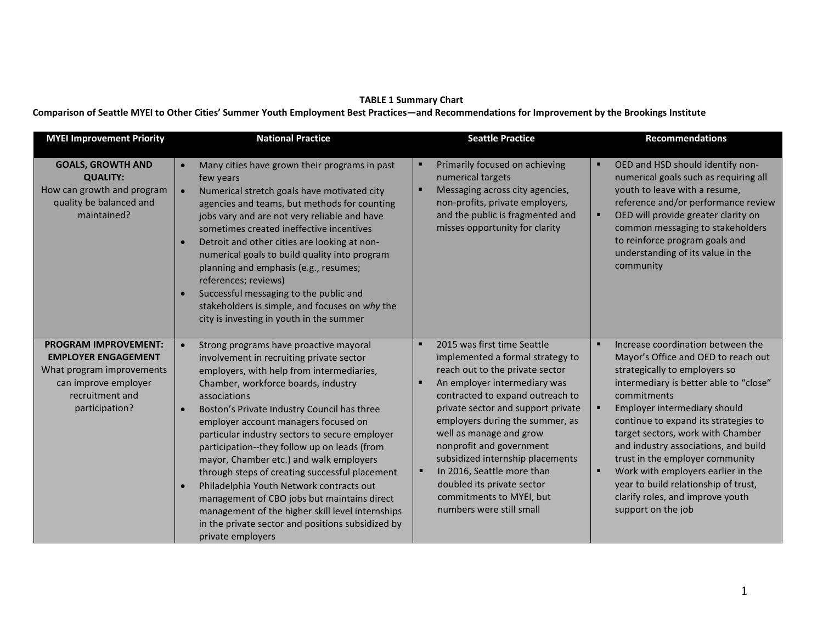#### **TABLE 1 Summary Chart**

**Comparison of Seattle MYEI to Other Cities' Summer Youth Employment Best Practices—and Recommendations for Improvement by the Brookings Institute** 

| <b>MYEI Improvement Priority</b>                                                                                                                    | <b>National Practice</b>                                                                                                                                                                                                                                                                                                                                                                                                                                                                                                                                                                                                                                                                                                                     | <b>Seattle Practice</b>                                                                                                                                                                                                                                                                                                                                                                                                                                        | <b>Recommendations</b>                                                                                                                                                                                                                                                                                                                                                                                                                                                                             |
|-----------------------------------------------------------------------------------------------------------------------------------------------------|----------------------------------------------------------------------------------------------------------------------------------------------------------------------------------------------------------------------------------------------------------------------------------------------------------------------------------------------------------------------------------------------------------------------------------------------------------------------------------------------------------------------------------------------------------------------------------------------------------------------------------------------------------------------------------------------------------------------------------------------|----------------------------------------------------------------------------------------------------------------------------------------------------------------------------------------------------------------------------------------------------------------------------------------------------------------------------------------------------------------------------------------------------------------------------------------------------------------|----------------------------------------------------------------------------------------------------------------------------------------------------------------------------------------------------------------------------------------------------------------------------------------------------------------------------------------------------------------------------------------------------------------------------------------------------------------------------------------------------|
| <b>GOALS, GROWTH AND</b><br><b>QUALITY:</b><br>How can growth and program<br>quality be balanced and<br>maintained?                                 | Many cities have grown their programs in past<br>$\bullet$<br>few years<br>Numerical stretch goals have motivated city<br>$\bullet$<br>agencies and teams, but methods for counting<br>jobs vary and are not very reliable and have<br>sometimes created ineffective incentives<br>Detroit and other cities are looking at non-<br>$\bullet$<br>numerical goals to build quality into program<br>planning and emphasis (e.g., resumes;<br>references; reviews)<br>Successful messaging to the public and<br>stakeholders is simple, and focuses on why the<br>city is investing in youth in the summer                                                                                                                                       | Primarily focused on achieving<br>numerical targets<br>Messaging across city agencies,<br>п<br>non-profits, private employers,<br>and the public is fragmented and<br>misses opportunity for clarity                                                                                                                                                                                                                                                           | OED and HSD should identify non-<br>numerical goals such as requiring all<br>youth to leave with a resume,<br>reference and/or performance review<br>OED will provide greater clarity on<br>common messaging to stakeholders<br>to reinforce program goals and<br>understanding of its value in the<br>community                                                                                                                                                                                   |
| <b>PROGRAM IMPROVEMENT:</b><br><b>EMPLOYER ENGAGEMENT</b><br>What program improvements<br>can improve employer<br>recruitment and<br>participation? | Strong programs have proactive mayoral<br>$\bullet$<br>involvement in recruiting private sector<br>employers, with help from intermediaries,<br>Chamber, workforce boards, industry<br>associations<br>Boston's Private Industry Council has three<br>$\bullet$<br>employer account managers focused on<br>particular industry sectors to secure employer<br>participation--they follow up on leads (from<br>mayor, Chamber etc.) and walk employers<br>through steps of creating successful placement<br>Philadelphia Youth Network contracts out<br>$\bullet$<br>management of CBO jobs but maintains direct<br>management of the higher skill level internships<br>in the private sector and positions subsidized by<br>private employers | 2015 was first time Seattle<br>implemented a formal strategy to<br>reach out to the private sector<br>An employer intermediary was<br>contracted to expand outreach to<br>private sector and support private<br>employers during the summer, as<br>well as manage and grow<br>nonprofit and government<br>subsidized internship placements<br>In 2016, Seattle more than<br>doubled its private sector<br>commitments to MYEI, but<br>numbers were still small | Increase coordination between the<br>Mayor's Office and OED to reach out<br>strategically to employers so<br>intermediary is better able to "close"<br>commitments<br>Employer intermediary should<br>continue to expand its strategies to<br>target sectors, work with Chamber<br>and industry associations, and build<br>trust in the employer community<br>Work with employers earlier in the<br>year to build relationship of trust,<br>clarify roles, and improve youth<br>support on the job |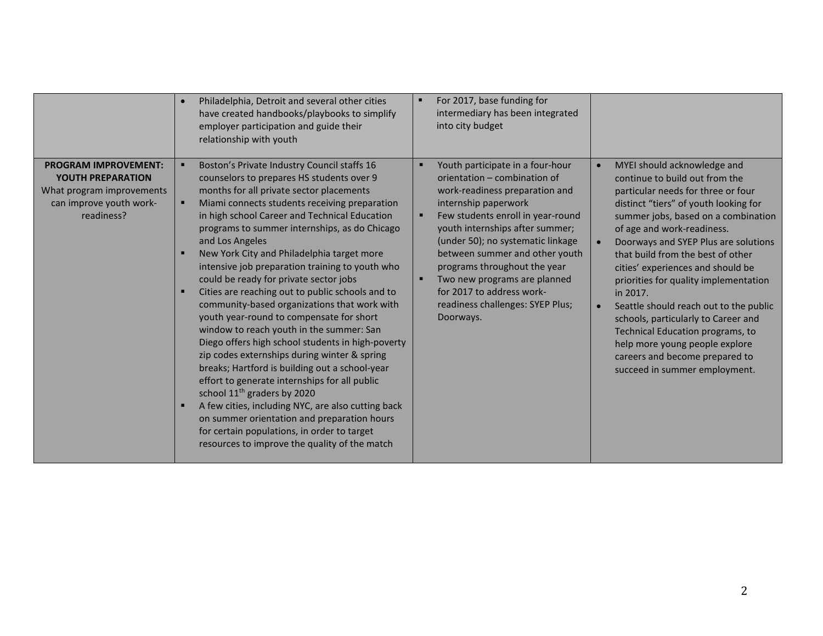|                                                                                                                               | Philadelphia, Detroit and several other cities<br>have created handbooks/playbooks to simplify<br>employer participation and guide their<br>relationship with youth                                                                                                                                                                                                                                                                                                                                                                                                                                                                                                                                                                                                                                                                                                                                                                                                                                                                                                                                                         | For 2017, base funding for<br>intermediary has been integrated<br>into city budget                                                                                                                                                                                                                                                                                                                                      |                                                                                                                                                                                                                                                                                                                                                                                                                                                                                                                                                                                                                                                           |
|-------------------------------------------------------------------------------------------------------------------------------|-----------------------------------------------------------------------------------------------------------------------------------------------------------------------------------------------------------------------------------------------------------------------------------------------------------------------------------------------------------------------------------------------------------------------------------------------------------------------------------------------------------------------------------------------------------------------------------------------------------------------------------------------------------------------------------------------------------------------------------------------------------------------------------------------------------------------------------------------------------------------------------------------------------------------------------------------------------------------------------------------------------------------------------------------------------------------------------------------------------------------------|-------------------------------------------------------------------------------------------------------------------------------------------------------------------------------------------------------------------------------------------------------------------------------------------------------------------------------------------------------------------------------------------------------------------------|-----------------------------------------------------------------------------------------------------------------------------------------------------------------------------------------------------------------------------------------------------------------------------------------------------------------------------------------------------------------------------------------------------------------------------------------------------------------------------------------------------------------------------------------------------------------------------------------------------------------------------------------------------------|
| <b>PROGRAM IMPROVEMENT:</b><br><b>YOUTH PREPARATION</b><br>What program improvements<br>can improve youth work-<br>readiness? | Boston's Private Industry Council staffs 16<br>counselors to prepares HS students over 9<br>months for all private sector placements<br>Miami connects students receiving preparation<br>$\blacksquare$<br>in high school Career and Technical Education<br>programs to summer internships, as do Chicago<br>and Los Angeles<br>New York City and Philadelphia target more<br>intensive job preparation training to youth who<br>could be ready for private sector jobs<br>Cities are reaching out to public schools and to<br>community-based organizations that work with<br>youth year-round to compensate for short<br>window to reach youth in the summer: San<br>Diego offers high school students in high-poverty<br>zip codes externships during winter & spring<br>breaks; Hartford is building out a school-year<br>effort to generate internships for all public<br>school 11 <sup>th</sup> graders by 2020<br>A few cities, including NYC, are also cutting back<br>on summer orientation and preparation hours<br>for certain populations, in order to target<br>resources to improve the quality of the match | Youth participate in a four-hour<br>orientation - combination of<br>work-readiness preparation and<br>internship paperwork<br>Few students enroll in year-round<br>youth internships after summer;<br>(under 50); no systematic linkage<br>between summer and other youth<br>programs throughout the year<br>Two new programs are planned<br>for 2017 to address work-<br>readiness challenges: SYEP Plus;<br>Doorways. | MYEI should acknowledge and<br>$\bullet$<br>continue to build out from the<br>particular needs for three or four<br>distinct "tiers" of youth looking for<br>summer jobs, based on a combination<br>of age and work-readiness.<br>Doorways and SYEP Plus are solutions<br>$\bullet$<br>that build from the best of other<br>cities' experiences and should be<br>priorities for quality implementation<br>in 2017.<br>Seattle should reach out to the public<br>$\bullet$<br>schools, particularly to Career and<br>Technical Education programs, to<br>help more young people explore<br>careers and become prepared to<br>succeed in summer employment. |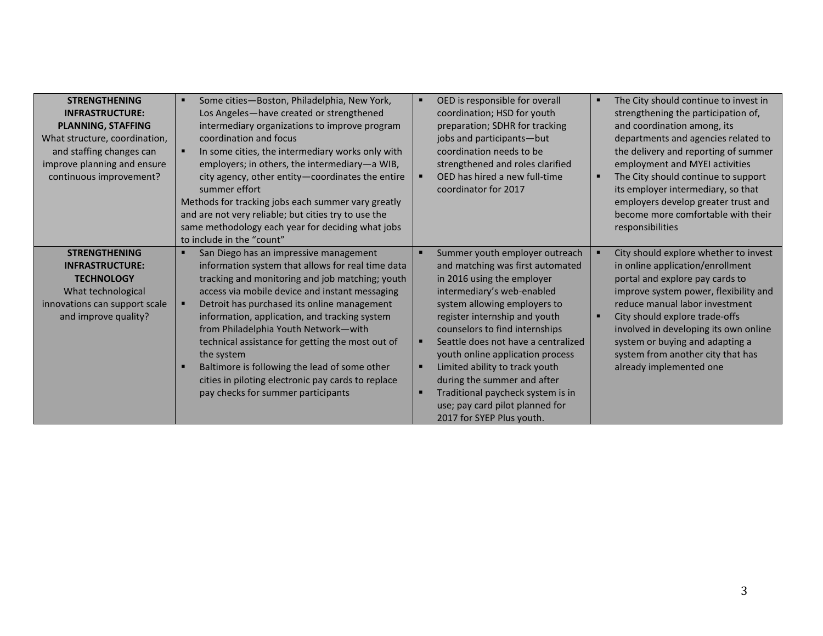| <b>STRENGTHENING</b><br><b>INFRASTRUCTURE:</b><br><b>PLANNING, STAFFING</b><br>What structure, coordination,<br>and staffing changes can<br>improve planning and ensure<br>continuous improvement? | Some cities-Boston, Philadelphia, New York,<br>Los Angeles-have created or strengthened<br>intermediary organizations to improve program<br>coordination and focus<br>In some cities, the intermediary works only with<br>employers; in others, the intermediary-a WIB,<br>city agency, other entity-coordinates the entire<br>summer effort<br>Methods for tracking jobs each summer vary greatly<br>and are not very reliable; but cities try to use the<br>same methodology each year for deciding what jobs<br>to include in the "count"            | OED is responsible for overall<br>coordination; HSD for youth<br>preparation; SDHR for tracking<br>jobs and participants-but<br>coordination needs to be<br>strengthened and roles clarified<br>OED has hired a new full-time<br>coordinator for 2017                                                                                                                                                                                                                                             | The City should continue to invest in<br>٠<br>strengthening the participation of,<br>and coordination among, its<br>departments and agencies related to<br>the delivery and reporting of summer<br>employment and MYEI activities<br>The City should continue to support<br>п<br>its employer intermediary, so that<br>employers develop greater trust and<br>become more comfortable with their<br>responsibilities |
|----------------------------------------------------------------------------------------------------------------------------------------------------------------------------------------------------|---------------------------------------------------------------------------------------------------------------------------------------------------------------------------------------------------------------------------------------------------------------------------------------------------------------------------------------------------------------------------------------------------------------------------------------------------------------------------------------------------------------------------------------------------------|---------------------------------------------------------------------------------------------------------------------------------------------------------------------------------------------------------------------------------------------------------------------------------------------------------------------------------------------------------------------------------------------------------------------------------------------------------------------------------------------------|----------------------------------------------------------------------------------------------------------------------------------------------------------------------------------------------------------------------------------------------------------------------------------------------------------------------------------------------------------------------------------------------------------------------|
| <b>STRENGTHENING</b><br><b>INFRASTRUCTURE:</b><br><b>TECHNOLOGY</b><br>What technological<br>innovations can support scale<br>and improve quality?                                                 | San Diego has an impressive management<br>information system that allows for real time data<br>tracking and monitoring and job matching; youth<br>access via mobile device and instant messaging<br>Detroit has purchased its online management<br>information, application, and tracking system<br>from Philadelphia Youth Network-with<br>technical assistance for getting the most out of<br>the system<br>Baltimore is following the lead of some other<br>cities in piloting electronic pay cards to replace<br>pay checks for summer participants | Summer youth employer outreach<br>and matching was first automated<br>in 2016 using the employer<br>intermediary's web-enabled<br>system allowing employers to<br>register internship and youth<br>counselors to find internships<br>Seattle does not have a centralized<br>п<br>youth online application process<br>Limited ability to track youth<br>п<br>during the summer and after<br>Traditional paycheck system is in<br>п<br>use; pay card pilot planned for<br>2017 for SYEP Plus youth. | City should explore whether to invest<br>in online application/enrollment<br>portal and explore pay cards to<br>improve system power, flexibility and<br>reduce manual labor investment<br>City should explore trade-offs<br>$\blacksquare$<br>involved in developing its own online<br>system or buying and adapting a<br>system from another city that has<br>already implemented one                              |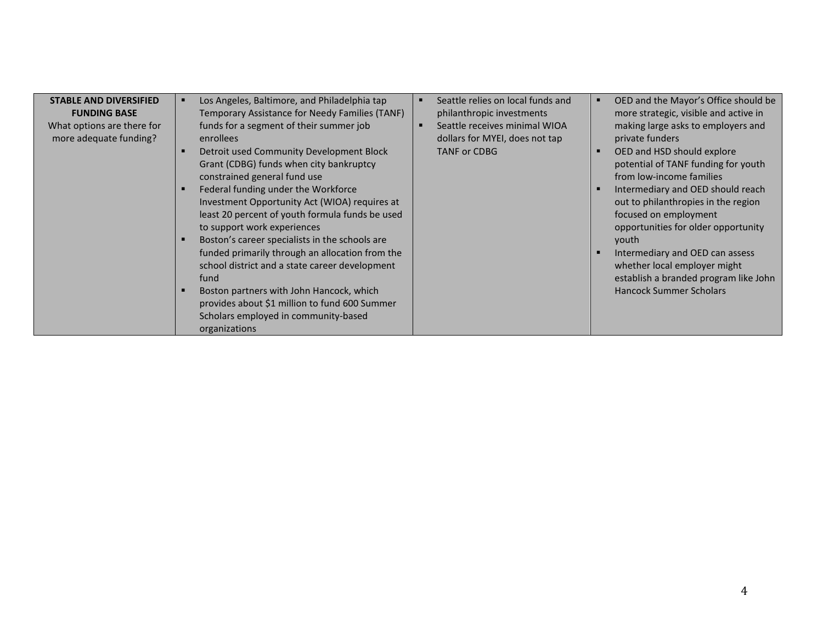| <b>STABLE AND DIVERSIFIED</b><br><b>FUNDING BASE</b><br>What options are there for<br>more adequate funding? | Los Angeles, Baltimore, and Philadelphia tap<br>٠<br>Temporary Assistance for Needy Families (TANF)<br>funds for a segment of their summer job<br>enrollees<br>Detroit used Community Development Block<br>Grant (CDBG) funds when city bankruptcy<br>constrained general fund use<br>Federal funding under the Workforce<br>Investment Opportunity Act (WIOA) requires at<br>least 20 percent of youth formula funds be used<br>to support work experiences<br>Boston's career specialists in the schools are<br>funded primarily through an allocation from the<br>school district and a state career development<br>fund<br>Boston partners with John Hancock, which<br>provides about \$1 million to fund 600 Summer<br>Scholars employed in community-based | п | Seattle relies on local funds and<br>philanthropic investments<br>Seattle receives minimal WIOA<br>dollars for MYEI, does not tap<br><b>TANF or CDBG</b> | OED and the Mayor's Office should be<br>more strategic, visible and active in<br>making large asks to employers and<br>private funders<br>OED and HSD should explore<br>potential of TANF funding for youth<br>from low-income families<br>Intermediary and OED should reach<br>out to philanthropies in the region<br>focused on employment<br>opportunities for older opportunity<br>youth<br>Intermediary and OED can assess<br>whether local employer might<br>establish a branded program like John<br><b>Hancock Summer Scholars</b> |
|--------------------------------------------------------------------------------------------------------------|------------------------------------------------------------------------------------------------------------------------------------------------------------------------------------------------------------------------------------------------------------------------------------------------------------------------------------------------------------------------------------------------------------------------------------------------------------------------------------------------------------------------------------------------------------------------------------------------------------------------------------------------------------------------------------------------------------------------------------------------------------------|---|----------------------------------------------------------------------------------------------------------------------------------------------------------|--------------------------------------------------------------------------------------------------------------------------------------------------------------------------------------------------------------------------------------------------------------------------------------------------------------------------------------------------------------------------------------------------------------------------------------------------------------------------------------------------------------------------------------------|
|                                                                                                              | organizations                                                                                                                                                                                                                                                                                                                                                                                                                                                                                                                                                                                                                                                                                                                                                    |   |                                                                                                                                                          |                                                                                                                                                                                                                                                                                                                                                                                                                                                                                                                                            |